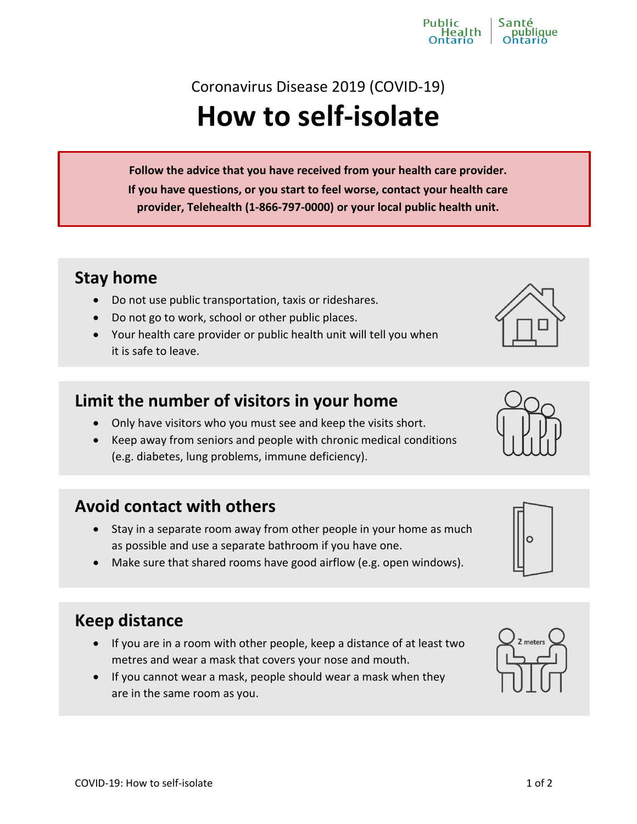# Coronavirus Disease 2019 (COVID-19) **How to self-isolate**

**Follow the advice that you have received from your health care provider. If you have questions, or you start to feel worse, contact your health care provider, Telehealth (1-866-797-0000) or your local public health unit.**

#### **Stay home**

- Do not use public transportation, taxis or rideshares.
- Do not go to work, school or other public places.
- Your health care provider or public health unit will tell you when it is safe to leave.

## **Limit the number of visitors in your home**

- Only have visitors who you must see and keep the visits short.
- Keep away from seniors and people with chronic medical conditions (e.g. diabetes, lung problems, immune deficiency).

## **Avoid contact with others**

- Stay in a separate room away from other people in your home as much as possible and use a separate bathroom if you have one.
- Make sure that shared rooms have good airflow (e.g. open windows).

## **Keep distance**

- If you are in a room with other people, keep a distance of at least two metres and wear a mask that covers your nose and mouth.
- If you cannot wear a mask, people should wear a mask when they are in the same room as you.









Public